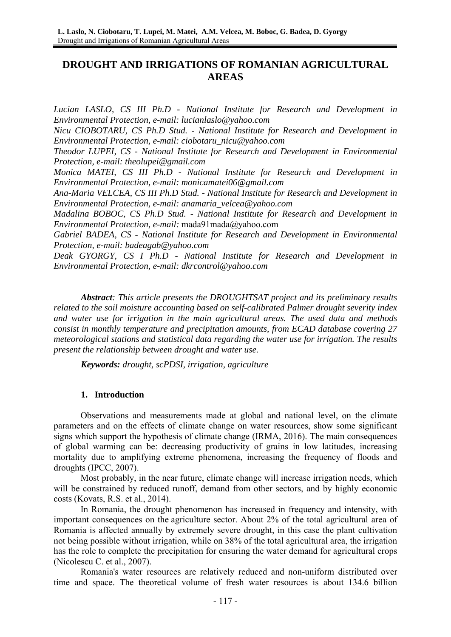# **DROUGHT AND IRRIGATIONS OF ROMANIAN AGRICULTURAL AREAS**

*Lucian LASLO, CS III Ph.D - National Institute for Research and Development in Environmental Protection, e-mail: lucianlaslo@yahoo.com* 

*Nicu CIOBOTARU, CS Ph.D Stud. - National Institute for Research and Development in Environmental Protection, e-mail: ciobotaru\_nicu@yahoo.com* 

*Theodor LUPEI, CS - National Institute for Research and Development in Environmental Protection, e-mail: theolupei@gmail.com* 

*Monica MATEI, CS III Ph.D - National Institute for Research and Development in Environmental Protection, e-mail: monicamatei06@gmail.com* 

*Ana-Maria VELCEA, CS III Ph.D Stud. - National Institute for Research and Development in Environmental Protection, e-mail: anamaria\_velcea@yahoo.com* 

*Madalina BOBOC, CS Ph.D Stud. - National Institute for Research and Development in Environmental Protection, e-mail:* mada91mada@yahoo.com

*Gabriel BADEA, CS - National Institute for Research and Development in Environmental Protection, e-mail: badeagab@yahoo.com* 

*Deak GYORGY, CS I Ph.D - National Institute for Research and Development in Environmental Protection, e-mail: dkrcontrol@yahoo.com* 

*Abstract: This article presents the DROUGHTSAT project and its preliminary results related to the soil moisture accounting based on self-calibrated Palmer drought severity index and water use for irrigation in the main agricultural areas. The used data and methods consist in monthly temperature and precipitation amounts, from ECAD database covering 27 meteorological stations and statistical data regarding the water use for irrigation. The results present the relationship between drought and water use.* 

*Keywords: drought, scPDSI, irrigation, agriculture* 

# **1. Introduction**

Observations and measurements made at global and national level, on the climate parameters and on the effects of climate change on water resources, show some significant signs which support the hypothesis of climate change (IRMA, 2016). The main consequences of global warming can be: decreasing productivity of grains in low latitudes, increasing mortality due to amplifying extreme phenomena, increasing the frequency of floods and droughts (IPCC, 2007).

Most probably, in the near future, climate change will increase irrigation needs, which will be constrained by reduced runoff, demand from other sectors, and by highly economic costs (Kovats, R.S. et al., 2014).

In Romania, the drought phenomenon has increased in frequency and intensity, with important consequences on the agriculture sector. About 2% of the total agricultural area of Romania is affected annually by extremely severe drought, in this case the plant cultivation not being possible without irrigation, while on 38% of the total agricultural area, the irrigation has the role to complete the precipitation for ensuring the water demand for agricultural crops (Nicolescu C. et al., 2007).

Romania's water resources are relatively reduced and non-uniform distributed over time and space. The theoretical volume of fresh water resources is about 134.6 billion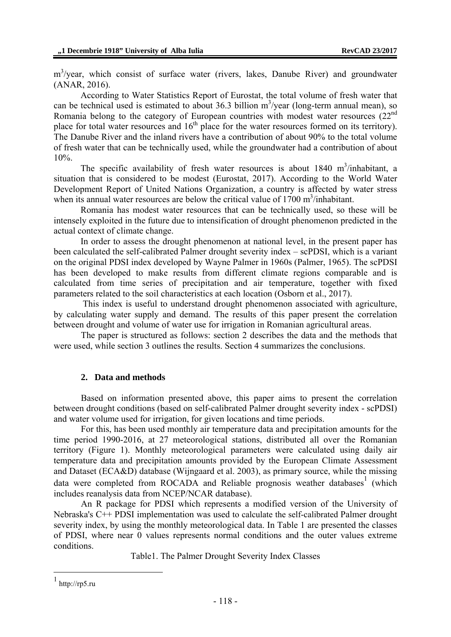m<sup>3</sup>/year, which consist of surface water (rivers, lakes, Danube River) and groundwater (ANAR, 2016).

According to Water Statistics Report of Eurostat, the total volume of fresh water that can be technical used is estimated to about 36.3 billion  $m^3$ /year (long-term annual mean), so Romania belong to the category of European countries with modest water resources (22<sup>nd</sup>) place for total water resources and  $16<sup>th</sup>$  place for the water resources formed on its territory). The Danube River and the inland rivers have a contribution of about 90% to the total volume of fresh water that can be technically used, while the groundwater had a contribution of about 10%.

The specific availability of fresh water resources is about  $1840 \text{ m}^3$ /inhabitant, a situation that is considered to be modest (Eurostat, 2017). According to the World Water Development Report of United Nations Organization, a country is affected by water stress when its annual water resources are below the critical value of  $1700 \text{ m}^3$ /inhabitant.

Romania has modest water resources that can be technically used, so these will be intensely exploited in the future due to intensification of drought phenomenon predicted in the actual context of climate change.

In order to assess the drought phenomenon at national level, in the present paper has been calculated the self-calibrated Palmer drought severity index – scPDSI, which is a variant on the original PDSI index developed by Wayne Palmer in 1960s (Palmer, 1965). The scPDSI has been developed to make results from different climate regions comparable and is calculated from time series of precipitation and air temperature, together with fixed parameters related to the soil characteristics at each location (Osborn et al., 2017).

 This index is useful to understand drought phenomenon associated with agriculture, by calculating water supply and demand. The results of this paper present the correlation between drought and volume of water use for irrigation in Romanian agricultural areas.

The paper is structured as follows: section 2 describes the data and the methods that were used, while section 3 outlines the results. Section 4 summarizes the conclusions.

# **2. Data and methods**

Based on information presented above, this paper aims to present the correlation between drought conditions (based on self-calibrated Palmer drought severity index - scPDSI) and water volume used for irrigation, for given locations and time periods.

For this, has been used monthly air temperature data and precipitation amounts for the time period 1990-2016, at 27 meteorological stations, distributed all over the Romanian territory (Figure 1). Monthly meteorological parameters were calculated using daily air temperature data and precipitation amounts provided by the European Climate Assessment and Dataset (ECA&D) database (Wijngaard et al. 2003), as primary source, while the missing data were completed from ROCADA and Reliable prognosis weather databases<sup>1</sup> (which includes reanalysis data from NCEP/NCAR database).

An R package for PDSI which represents a modified version of the University of Nebraska's C++ PDSI implementation was used to calculate the self-calibrated Palmer drought severity index, by using the monthly meteorological data. In Table 1 are presented the classes of PDSI, where near 0 values represents normal conditions and the outer values extreme conditions.

Table1. The Palmer Drought Severity Index Classes

1

 $1$  http://rp5.ru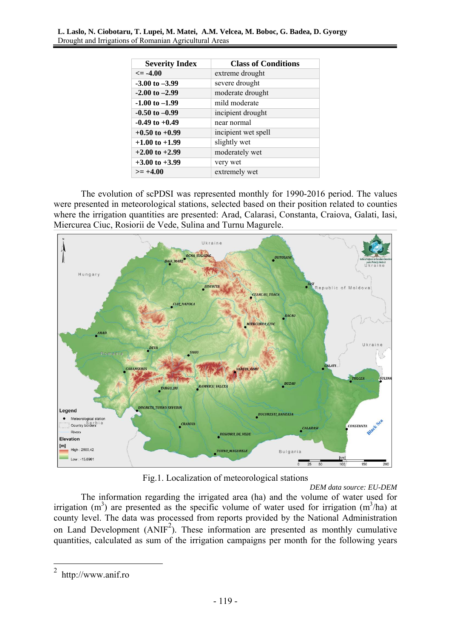| <b>Severity Index</b> | <b>Class of Conditions</b> |
|-----------------------|----------------------------|
| $\leq$ -4.00          | extreme drought            |
| $-3.00$ to $-3.99$    | severe drought             |
| $-2.00$ to $-2.99$    | moderate drought           |
| $-1.00$ to $-1.99$    | mild moderate              |
| $-0.50$ to $-0.99$    | incipient drought          |
| $-0.49$ to $+0.49$    | near normal                |
| $+0.50$ to $+0.99$    | incipient wet spell        |
| $+1.00$ to $+1.99$    | slightly wet               |
| $+2.00$ to $+2.99$    | moderately wet             |
| $+3.00$ to $+3.99$    | very wet                   |
| $>= +4.00$            | extremely wet              |

The evolution of scPDSI was represented monthly for 1990-2016 period. The values were presented in meteorological stations, selected based on their position related to counties where the irrigation quantities are presented: Arad, Calarasi, Constanta, Craiova, Galati, Iasi, Miercurea Ciuc, Rosiorii de Vede, Sulina and Turnu Magurele.



Fig.1. Localization of meteorological stations

*DEM data source: EU-DEM*  The information regarding the irrigated area (ha) and the volume of water used for irrigation  $(m^3)$  are presented as the specific volume of water used for irrigation  $(m^3/ha)$  at county level. The data was processed from reports provided by the National Administration on Land Development  $(ANIF<sup>2</sup>)$ . These information are presented as monthly cumulative quantities, calculated as sum of the irrigation campaigns per month for the following years

<u>.</u>

<sup>2</sup> http://www.anif.ro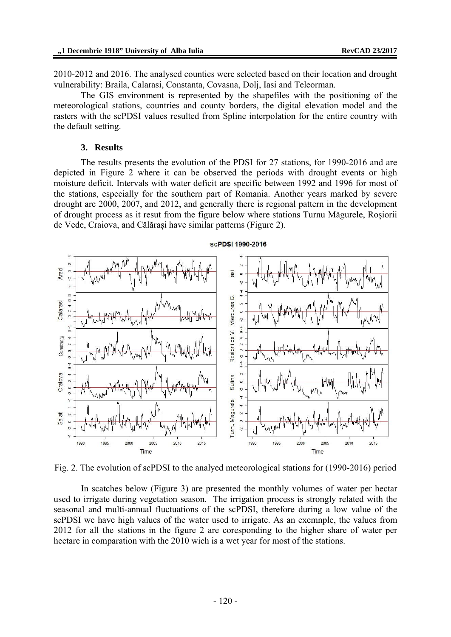2010-2012 and 2016. The analysed counties were selected based on their location and drought vulnerability: Braila, Calarasi, Constanta, Covasna, Dolj, Iasi and Teleorman.

The GIS environment is represented by the shapefiles with the positioning of the meteorological stations, countries and county borders, the digital elevation model and the rasters with the scPDSI values resulted from Spline interpolation for the entire country with the default setting.

# **3. Results**

The results presents the evolution of the PDSI for 27 stations, for 1990-2016 and are depicted in Figure 2 where it can be observed the periods with drought events or high moisture deficit. Intervals with water deficit are specific between 1992 and 1996 for most of the stations, especially for the southern part of Romania. Another years marked by severe drought are 2000, 2007, and 2012, and generally there is regional pattern in the development of drought process as it resut from the figure below where stations Turnu Măgurele, Roșiorii de Vede, Craiova, and Călărași have similar patterns (Figure 2).



Fig. 2. The evolution of scPDSI to the analyed meteorological stations for (1990-2016) period

In scatches below (Figure 3) are presented the monthly volumes of water per hectar used to irrigate during vegetation season. The irrigation process is strongly related with the seasonal and multi-annual fluctuations of the scPDSI, therefore during a low value of the scPDSI we have high values of the water used to irrigate. As an exemnple, the values from 2012 for all the stations in the figure 2 are coresponding to the higher share of water per hectare in comparation with the 2010 wich is a wet year for most of the stations.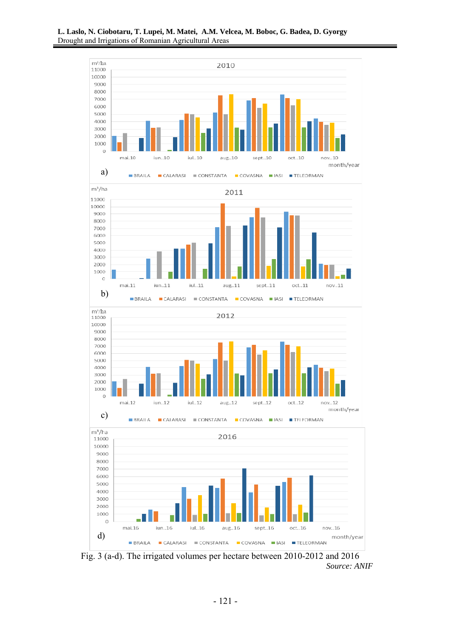

*Source: ANIF*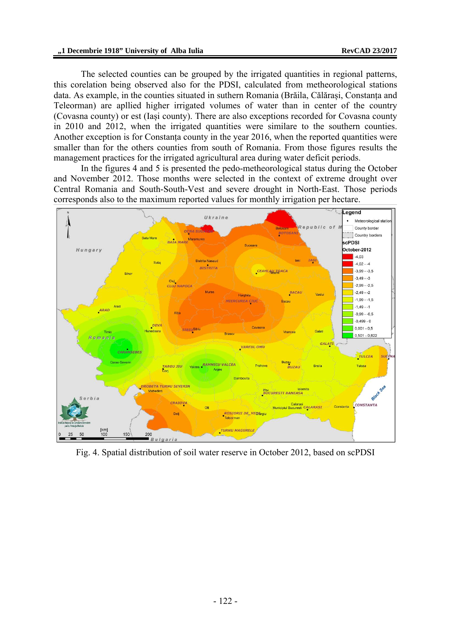The selected counties can be grouped by the irrigated quantities in regional patterns, this corelation being observed also for the PDSI, calculated from metheorological stations data. As example, in the counties situated in suthern Romania (Brăila, Călărași, Constanța and Teleorman) are apllied higher irrigated volumes of water than in center of the country (Covasna county) or est (Iași county). There are also exceptions recorded for Covasna county in 2010 and 2012, when the irrigated quantities were similare to the southern counties. Another exception is for Constanța county in the year 2016, when the reported quantities were smaller than for the others counties from south of Romania. From those figures results the management practices for the irrigated agricultural area during water deficit periods.

In the figures 4 and 5 is presented the pedo-metheorological status during the October and November 2012. Those months were selected in the context of extreme drought over Central Romania and South-South-Vest and severe drought in North-East. Those periods corresponds also to the maximum reported values for monthly irrigation per hectare.



Fig. 4. Spatial distribution of soil water reserve in October 2012, based on scPDSI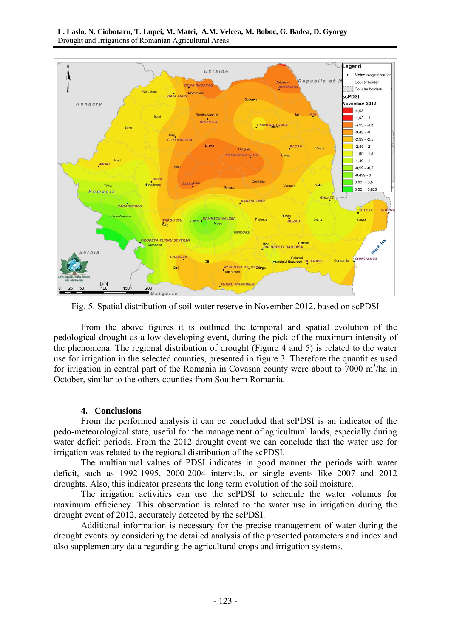

Fig. 5. Spatial distribution of soil water reserve in November 2012, based on scPDSI

From the above figures it is outlined the temporal and spatial evolution of the pedological drought as a low developing event, during the pick of the maximum intensity of the phenomena. The regional distribution of drought (Figure 4 and 5) is related to the water use for irrigation in the selected counties, presented in figure 3. Therefore the quantities used for irrigation in central part of the Romania in Covasna county were about to  $7000 \text{ m}^3/\text{ha}$  in October, similar to the others counties from Southern Romania.

# **4. Conclusions**

From the performed analysis it can be concluded that scPDSI is an indicator of the pedo-meteorological state, useful for the management of agricultural lands, especially during water deficit periods. From the 2012 drought event we can conclude that the water use for irrigation was related to the regional distribution of the scPDSI.

The multiannual values of PDSI indicates in good manner the periods with water deficit, such as 1992-1995, 2000-2004 intervals, or single events like 2007 and 2012 droughts. Also, this indicator presents the long term evolution of the soil moisture.

The irrigation activities can use the scPDSI to schedule the water volumes for maximum efficiency. This observation is related to the water use in irrigation during the drought event of 2012, accurately detected by the scPDSI.

Additional information is necessary for the precise management of water during the drought events by considering the detailed analysis of the presented parameters and index and also supplementary data regarding the agricultural crops and irrigation systems.